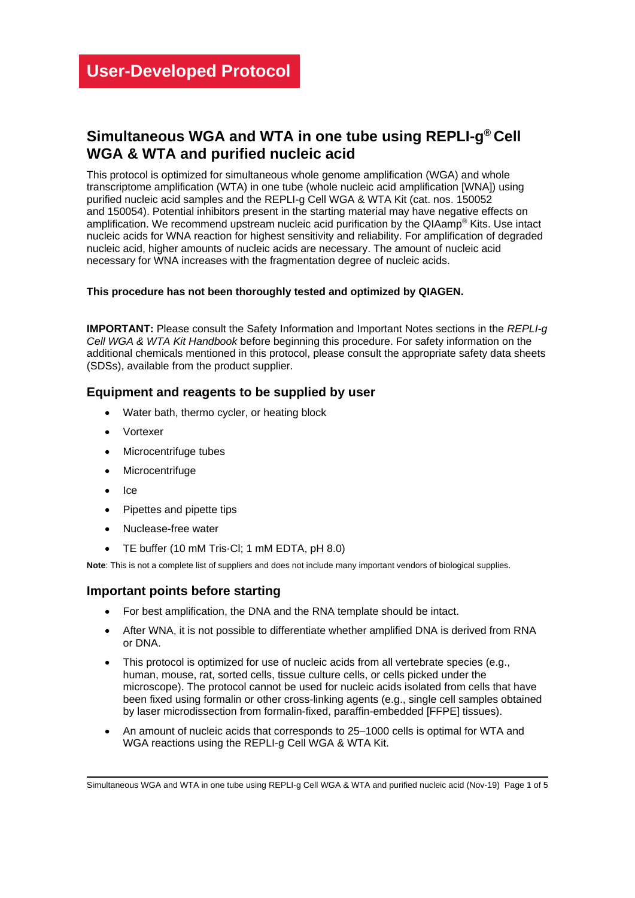# **Simultaneous WGA and WTA in one tube using REPLI-g ® Cell WGA & WTA and purified nucleic acid**

This protocol is optimized for simultaneous whole genome amplification (WGA) and whole transcriptome amplification (WTA) in one tube (whole nucleic acid amplification [WNA]) using purified nucleic acid samples and the REPLI-g Cell WGA & WTA Kit (cat. nos. 150052 and 150054). Potential inhibitors present in the starting material may have negative effects on amplification. We recommend upstream nucleic acid purification by the QIAamp® Kits. Use intact nucleic acids for WNA reaction for highest sensitivity and reliability. For amplification of degraded nucleic acid, higher amounts of nucleic acids are necessary. The amount of nucleic acid necessary for WNA increases with the fragmentation degree of nucleic acids.

### **This procedure has not been thoroughly tested and optimized by QIAGEN.**

**IMPORTANT:** Please consult the Safety Information and Important Notes sections in the *REPLI-g Cell WGA & WTA Kit Handbook* before beginning this procedure. For safety information on the additional chemicals mentioned in this protocol, please consult the appropriate safety data sheets (SDSs), available from the product supplier.

## **Equipment and reagents to be supplied by user**

- Water bath, thermo cycler, or heating block
- Vortexer
- Microcentrifuge tubes
- Microcentrifuge
- Ice
- Pipettes and pipette tips
- Nuclease-free water
- TE buffer (10 mM Tris·Cl; 1 mM EDTA, pH 8.0)

**Note**: This is not a complete list of suppliers and does not include many important vendors of biological supplies.

### **Important points before starting**

- For best amplification, the DNA and the RNA template should be intact.
- After WNA, it is not possible to differentiate whether amplified DNA is derived from RNA or DNA.
- This protocol is optimized for use of nucleic acids from all vertebrate species (e.g., human, mouse, rat, sorted cells, tissue culture cells, or cells picked under the microscope). The protocol cannot be used for nucleic acids isolated from cells that have been fixed using formalin or other cross-linking agents (e.g., single cell samples obtained by laser microdissection from formalin-fixed, paraffin-embedded [FFPE] tissues).
- An amount of nucleic acids that corresponds to 25–1000 cells is optimal for WTA and WGA reactions using the REPLI-g Cell WGA & WTA Kit.

Simultaneous WGA and WTA in one tube using REPLI-g Cell WGA & WTA and purified nucleic acid (Nov-19) Page 1 of 5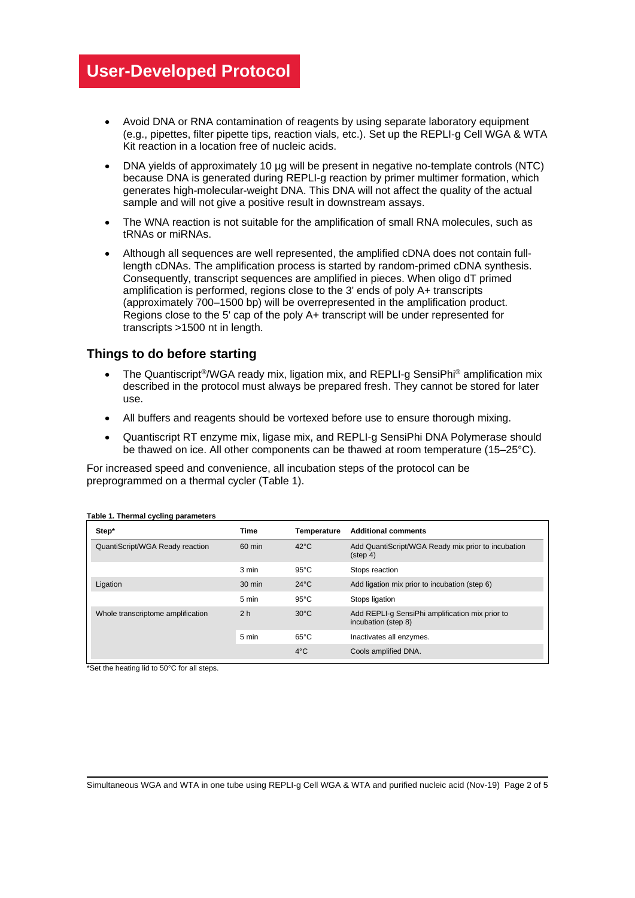- Avoid DNA or RNA contamination of reagents by using separate laboratory equipment (e.g., pipettes, filter pipette tips, reaction vials, etc.). Set up the REPLI-g Cell WGA & WTA Kit reaction in a location free of nucleic acids.
- DNA yields of approximately 10 µg will be present in negative no-template controls (NTC) because DNA is generated during REPLI-g reaction by primer multimer formation, which generates high-molecular-weight DNA. This DNA will not affect the quality of the actual sample and will not give a positive result in downstream assays.
- The WNA reaction is not suitable for the amplification of small RNA molecules, such as tRNAs or miRNAs.
- Although all sequences are well represented, the amplified cDNA does not contain fulllength cDNAs. The amplification process is started by random-primed cDNA synthesis. Consequently, transcript sequences are amplified in pieces. When oligo dT primed amplification is performed, regions close to the 3' ends of poly A+ transcripts (approximately 700–1500 bp) will be overrepresented in the amplification product. Regions close to the 5' cap of the poly A+ transcript will be under represented for transcripts >1500 nt in length.

# **Things to do before starting**

- The Quantiscript<sup>®</sup>/WGA ready mix, ligation mix, and REPLI-g SensiPhi<sup>®</sup> amplification mix described in the protocol must always be prepared fresh. They cannot be stored for later use.
- All buffers and reagents should be vortexed before use to ensure thorough mixing.
- Quantiscript RT enzyme mix, ligase mix, and REPLI-g SensiPhi DNA Polymerase should be thawed on ice. All other components can be thawed at room temperature (15–25°C).

For increased speed and convenience, all incubation steps of the protocol can be preprogrammed on a thermal cycler [\(Table 1\)](#page-1-0).

| Step*                             | <b>Time</b>      | Temperature    | <b>Additional comments</b>                                               |
|-----------------------------------|------------------|----------------|--------------------------------------------------------------------------|
| QuantiScript/WGA Ready reaction   | 60 min           | $42^{\circ}$ C | Add QuantiScript/WGA Ready mix prior to incubation<br>$(\text{step } 4)$ |
|                                   | 3 min            | $95^{\circ}$ C | Stops reaction                                                           |
| Ligation                          | $30 \text{ min}$ | $24^{\circ}$ C | Add ligation mix prior to incubation (step 6)                            |
|                                   | 5 min            | $95^{\circ}$ C | Stops ligation                                                           |
| Whole transcriptome amplification | 2 <sub>h</sub>   | $30^{\circ}$ C | Add REPLI-g SensiPhi amplification mix prior to<br>incubation (step 8)   |
|                                   | 5 min            | $65^{\circ}$ C | Inactivates all enzymes.                                                 |
|                                   |                  | $4^{\circ}$ C  | Cools amplified DNA.                                                     |

### <span id="page-1-0"></span>**Table 1. Thermal cycling parameters**

\*Set the heating lid to 50°C for all steps.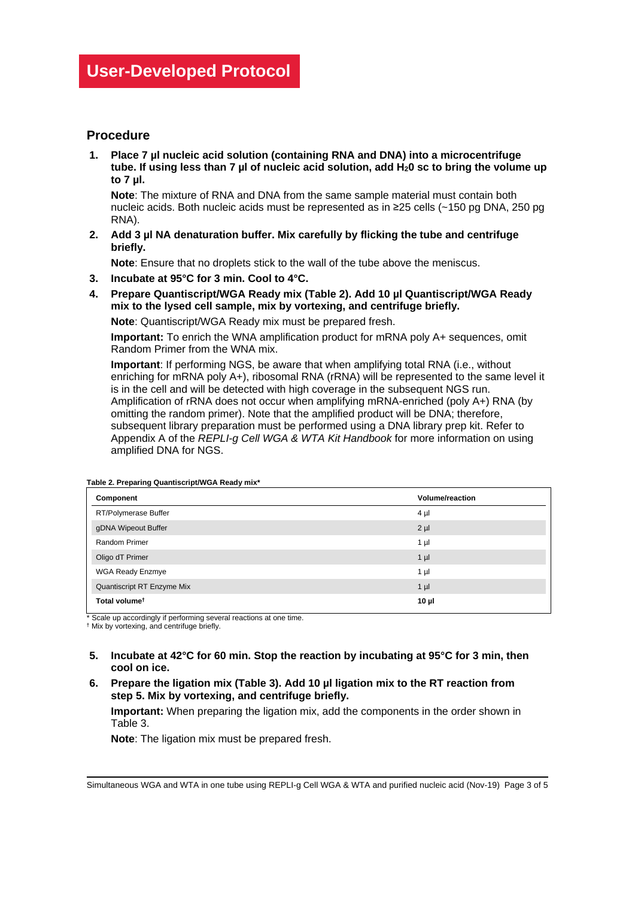# **Procedure**

**1. Place 7 µl nucleic acid solution (containing RNA and DNA) into a microcentrifuge tube. If using less than 7 µl of nucleic acid solution, add H20 sc to bring the volume up to 7 µl.**

**Note**: The mixture of RNA and DNA from the same sample material must contain both nucleic acids. Both nucleic acids must be represented as in ≥25 cells (~150 pg DNA, 250 pg RNA).

**2. Add 3 µl NA denaturation buffer. Mix carefully by flicking the tube and centrifuge briefly.**

**Note**: Ensure that no droplets stick to the wall of the tube above the meniscus.

- **3. Incubate at 95°C for 3 min. Cool to 4°C.**
- **4. Prepare Quantiscript/WGA Ready mix [\(Table 2\)](#page-2-0). Add 10 µl Quantiscript/WGA Ready mix to the lysed cell sample, mix by vortexing, and centrifuge briefly.**

**Note**: Quantiscript/WGA Ready mix must be prepared fresh.

**Important:** To enrich the WNA amplification product for mRNA poly A+ sequences, omit Random Primer from the WNA mix.

**Important**: If performing NGS, be aware that when amplifying total RNA (i.e., without enriching for mRNA poly A+), ribosomal RNA (rRNA) will be represented to the same level it is in the cell and will be detected with high coverage in the subsequent NGS run. Amplification of rRNA does not occur when amplifying mRNA-enriched (poly A+) RNA (by omitting the random primer). Note that the amplified product will be DNA; therefore, subsequent library preparation must be performed using a DNA library prep kit. Refer to Appendix A of the *REPLI-g Cell WGA & WTA Kit Handbook* for more information on using amplified DNA for NGS.

| Component                  | <b>Volume/reaction</b> |
|----------------------------|------------------------|
| RT/Polymerase Buffer       | $4 \mu$                |
| gDNA Wipeout Buffer        | $2 \mu$                |
| Random Primer              | 1 µl                   |
| Oligo dT Primer            | $1 \mu$                |
| <b>WGA Ready Enzmye</b>    | 1 µl                   |
| Quantiscript RT Enzyme Mix | $1 \mu$                |
| Total volume <sup>t</sup>  | $10 \mu$               |

<span id="page-2-0"></span>**Table 2. Preparing Quantiscript/WGA Ready mix\***

\* Scale up accordingly if performing several reactions at one time.

† Mix by vortexing, and centrifuge briefly.

- **5. Incubate at 42°C for 60 min. Stop the reaction by incubating at 95°C for 3 min, then cool on ice.**
- **6. Prepare the ligation mix [\(Table 3\)](#page-3-0). Add 10 µl ligation mix to the RT reaction from step 5. Mix by vortexing, and centrifuge briefly.**

**Important:** When preparing the ligation mix, add the components in the order shown in [Table 3.](#page-3-0)

**Note**: The ligation mix must be prepared fresh.

Simultaneous WGA and WTA in one tube using REPLI-g Cell WGA & WTA and purified nucleic acid (Nov-19) Page 3 of 5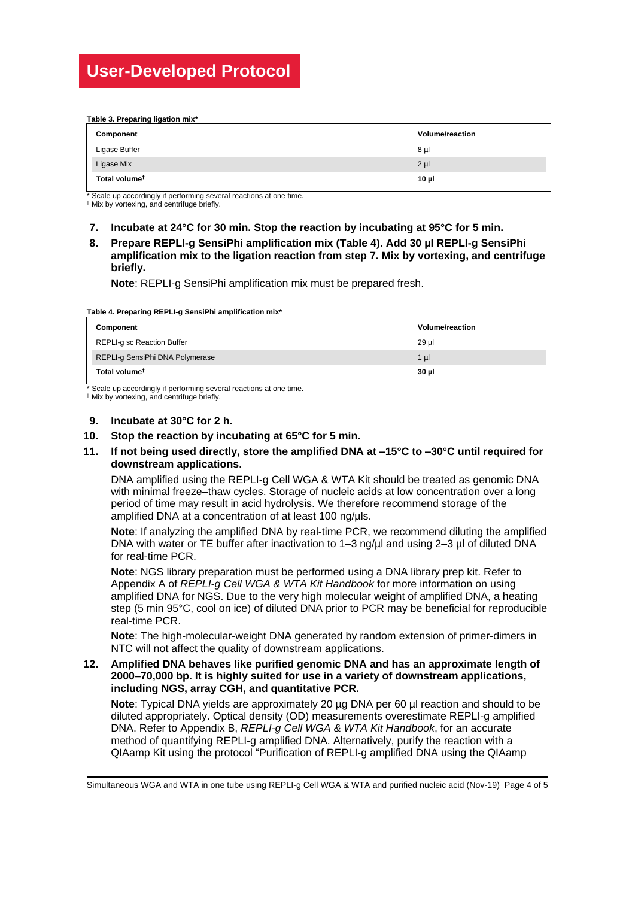#### <span id="page-3-0"></span>**Table 3. Preparing ligation mix\***

| Component                 | <b>Volume/reaction</b> |
|---------------------------|------------------------|
| Ligase Buffer             | 8µl                    |
| Ligase Mix                | $2 \mu$                |
| Total volume <sup>t</sup> | 10 <sub>µ</sub>        |

Scale up accordingly if performing several reactions at one time.

† Mix by vortexing, and centrifuge briefly.

- **7. Incubate at 24°C for 30 min. Stop the reaction by incubating at 95°C for 5 min.**
- **8. Prepare REPLI-g SensiPhi amplification mix [\(Table 4\)](#page-3-1). Add 30 µl REPLI-g SensiPhi amplification mix to the ligation reaction from step 7. Mix by vortexing, and centrifuge briefly.**

**Note**: REPLI-g SensiPhi amplification mix must be prepared fresh.

<span id="page-3-1"></span>**Table 4. Preparing REPLI-g SensiPhi amplification mix\***

| Component                       | <b>Volume/reaction</b> |
|---------------------------------|------------------------|
| REPLI-g sc Reaction Buffer      | 29 µl                  |
| REPLI-g SensiPhi DNA Polymerase | $1 \mu$                |
| Total volume <sup>†</sup>       | 30 µl                  |

\* Scale up accordingly if performing several reactions at one time.

† Mix by vortexing, and centrifuge briefly.

#### **9. Incubate at 30°C for 2 h.**

#### **10. Stop the reaction by incubating at 65°C for 5 min.**

### **11. If not being used directly, store the amplified DNA at –15°C to –30°C until required for downstream applications.**

DNA amplified using the REPLI-g Cell WGA & WTA Kit should be treated as genomic DNA with minimal freeze–thaw cycles. Storage of nucleic acids at low concentration over a long period of time may result in acid hydrolysis. We therefore recommend storage of the amplified DNA at a concentration of at least 100 ng/uls.

**Note**: If analyzing the amplified DNA by real-time PCR, we recommend diluting the amplified DNA with water or TE buffer after inactivation to 1–3 ng/ul and using 2–3 µl of diluted DNA for real-time PCR.

**Note**: NGS library preparation must be performed using a DNA library prep kit. Refer to Appendix A of *REPLI-g Cell WGA & WTA Kit Handbook* for more information on using amplified DNA for NGS. Due to the very high molecular weight of amplified DNA, a heating step (5 min 95°C, cool on ice) of diluted DNA prior to PCR may be beneficial for reproducible real-time PCR.

**Note**: The high-molecular-weight DNA generated by random extension of primer-dimers in NTC will not affect the quality of downstream applications.

### **12. Amplified DNA behaves like purified genomic DNA and has an approximate length of 2000–70,000 bp. It is highly suited for use in a variety of downstream applications, including NGS, array CGH, and quantitative PCR.**

**Note**: Typical DNA yields are approximately 20 µg DNA per 60 µl reaction and should to be diluted appropriately. Optical density (OD) measurements overestimate REPLI-g amplified DNA. Refer to Appendix B, *REPLI-g Cell WGA & WTA Kit Handbook*, for an accurate method of quantifying REPLI-g amplified DNA. Alternatively, purify the reaction with a QIAamp Kit using the protocol "Purification of REPLI-g amplified DNA using the QIAamp

Simultaneous WGA and WTA in one tube using REPLI-g Cell WGA & WTA and purified nucleic acid (Nov-19) Page 4 of 5